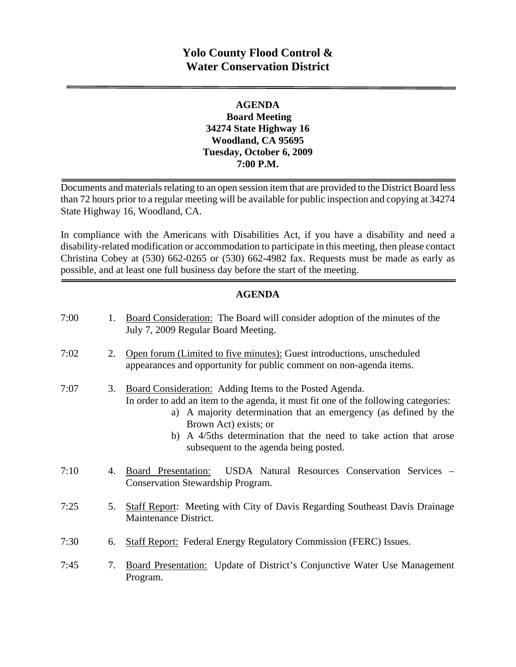## **Yolo County Flood Control & Water Conservation District**

#### **AGENDA Board Meeting 34274 State Highway 16 Woodland, CA 95695 Tuesday, October 6, 2009 7:00 P.M.**

Documents and materials relating to an open session item that are provided to the District Board less than 72 hours prior to a regular meeting will be available for public inspection and copying at 34274 State Highway 16, Woodland, CA.

In compliance with the Americans with Disabilities Act, if you have a disability and need a disability-related modification or accommodation to participate in this meeting, then please contact Christina Cobey at (530) 662-0265 or (530) 662-4982 fax. Requests must be made as early as possible, and at least one full business day before the start of the meeting.

#### **AGENDA**

| 7:00 | 1. | Board Consideration: The Board will consider adoption of the minutes of the<br>July 7, 2009 Regular Board Meeting.                                                                                                                                                                                                                                            |
|------|----|---------------------------------------------------------------------------------------------------------------------------------------------------------------------------------------------------------------------------------------------------------------------------------------------------------------------------------------------------------------|
| 7:02 | 2. | Open forum (Limited to five minutes): Guest introductions, unscheduled<br>appearances and opportunity for public comment on non-agenda items.                                                                                                                                                                                                                 |
| 7:07 | 3. | Board Consideration: Adding Items to the Posted Agenda.<br>In order to add an item to the agenda, it must fit one of the following categories:<br>a) A majority determination that an emergency (as defined by the<br>Brown Act) exists; or<br>A 4/5ths determination that the need to take action that arose<br>b)<br>subsequent to the agenda being posted. |
| 7:10 | 4. | USDA Natural Resources Conservation Services -<br>Board Presentation:<br>Conservation Stewardship Program.                                                                                                                                                                                                                                                    |
| 7:25 | 5. | <b>Staff Report:</b> Meeting with City of Davis Regarding Southeast Davis Drainage<br>Maintenance District.                                                                                                                                                                                                                                                   |
| 7:30 | 6. | <b>Staff Report:</b> Federal Energy Regulatory Commission (FERC) Issues.                                                                                                                                                                                                                                                                                      |
| 7:45 | 7. | <b>Board Presentation:</b> Update of District's Conjunctive Water Use Management<br>Program.                                                                                                                                                                                                                                                                  |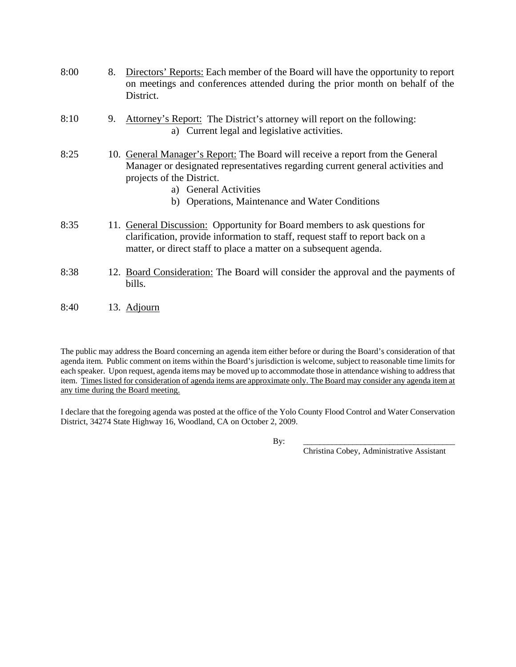- 8:00 8. Directors' Reports: Each member of the Board will have the opportunity to report on meetings and conferences attended during the prior month on behalf of the District. 8:10 9. Attorney's Report: The District's attorney will report on the following: a) Current legal and legislative activities.
- 8:25 10. General Manager's Report: The Board will receive a report from the General Manager or designated representatives regarding current general activities and projects of the District.
	- a) General Activities
	- b) Operations, Maintenance and Water Conditions
- 8:35 11. General Discussion: Opportunity for Board members to ask questions for clarification, provide information to staff, request staff to report back on a matter, or direct staff to place a matter on a subsequent agenda.
- 8:38 12. Board Consideration: The Board will consider the approval and the payments of bills.
- 8:40 13. Adjourn

The public may address the Board concerning an agenda item either before or during the Board's consideration of that agenda item. Public comment on items within the Board's jurisdiction is welcome, subject to reasonable time limits for each speaker. Upon request, agenda items may be moved up to accommodate those in attendance wishing to address that item. Times listed for consideration of agenda items are approximate only. The Board may consider any agenda item at any time during the Board meeting.

I declare that the foregoing agenda was posted at the office of the Yolo County Flood Control and Water Conservation District, 34274 State Highway 16, Woodland, CA on October 2, 2009.

By: \_\_\_\_\_\_\_\_\_\_\_\_\_\_\_\_\_\_\_\_\_\_\_\_\_\_\_\_\_\_\_\_\_\_\_\_\_

Christina Cobey, Administrative Assistant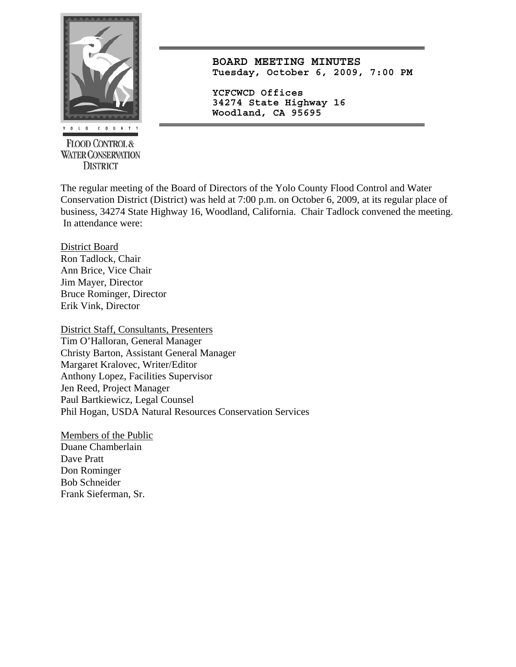

**FLOOD CONTROL & WATER CONSERVATION DISTRICT** 

**BOARD MEETING MINUTES Tuesday, October 6, 2009, 7:00 PM**

**YCFCWCD Offices 34274 State Highway 16 Woodland, CA 95695** 

The regular meeting of the Board of Directors of the Yolo County Flood Control and Water Conservation District (District) was held at 7:00 p.m. on October 6, 2009, at its regular place of business, 34274 State Highway 16, Woodland, California. Chair Tadlock convened the meeting. In attendance were:

District Board Ron Tadlock, Chair Ann Brice, Vice Chair Jim Mayer, Director Bruce Rominger, Director Erik Vink, Director

District Staff, Consultants, Presenters Tim O'Halloran, General Manager Christy Barton, Assistant General Manager Margaret Kralovec, Writer/Editor Anthony Lopez, Facilities Supervisor Jen Reed, Project Manager Paul Bartkiewicz, Legal Counsel Phil Hogan, USDA Natural Resources Conservation Services

Members of the Public Duane Chamberlain Dave Pratt Don Rominger Bob Schneider Frank Sieferman, Sr.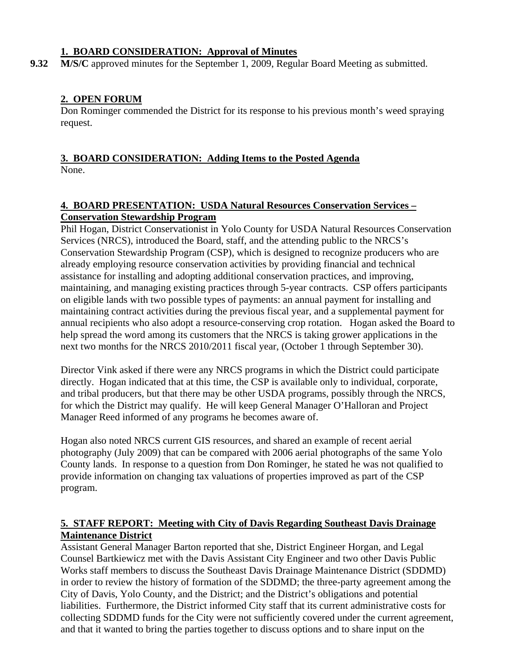#### **1. BOARD CONSIDERATION: Approval of Minutes**

**9.32 M/S/C** approved minutes for the September 1, 2009, Regular Board Meeting as submitted.

## **2. OPEN FORUM**

Don Rominger commended the District for its response to his previous month's weed spraying request.

# **3. BOARD CONSIDERATION: Adding Items to the Posted Agenda**

None.

## **4. BOARD PRESENTATION: USDA Natural Resources Conservation Services – Conservation Stewardship Program**

Phil Hogan, District Conservationist in Yolo County for USDA Natural Resources Conservation Services (NRCS), introduced the Board, staff, and the attending public to the NRCS's Conservation Stewardship Program (CSP), which is designed to recognize producers who are already employing resource conservation activities by providing financial and technical assistance for installing and adopting additional conservation practices, and improving, maintaining, and managing existing practices through 5-year contracts. CSP offers participants on eligible lands with two possible types of payments: an annual payment for installing and maintaining contract activities during the previous fiscal year, and a supplemental payment for annual recipients who also adopt a resource-conserving crop rotation. Hogan asked the Board to help spread the word among its customers that the NRCS is taking grower applications in the next two months for the NRCS 2010/2011 fiscal year, (October 1 through September 30).

Director Vink asked if there were any NRCS programs in which the District could participate directly. Hogan indicated that at this time, the CSP is available only to individual, corporate, and tribal producers, but that there may be other USDA programs, possibly through the NRCS, for which the District may qualify. He will keep General Manager O'Halloran and Project Manager Reed informed of any programs he becomes aware of.

Hogan also noted NRCS current GIS resources, and shared an example of recent aerial photography (July 2009) that can be compared with 2006 aerial photographs of the same Yolo County lands. In response to a question from Don Rominger, he stated he was not qualified to provide information on changing tax valuations of properties improved as part of the CSP program.

## **5. STAFF REPORT: Meeting with City of Davis Regarding Southeast Davis Drainage Maintenance District**

Assistant General Manager Barton reported that she, District Engineer Horgan, and Legal Counsel Bartkiewicz met with the Davis Assistant City Engineer and two other Davis Public Works staff members to discuss the Southeast Davis Drainage Maintenance District (SDDMD) in order to review the history of formation of the SDDMD; the three-party agreement among the City of Davis, Yolo County, and the District; and the District's obligations and potential liabilities. Furthermore, the District informed City staff that its current administrative costs for collecting SDDMD funds for the City were not sufficiently covered under the current agreement, and that it wanted to bring the parties together to discuss options and to share input on the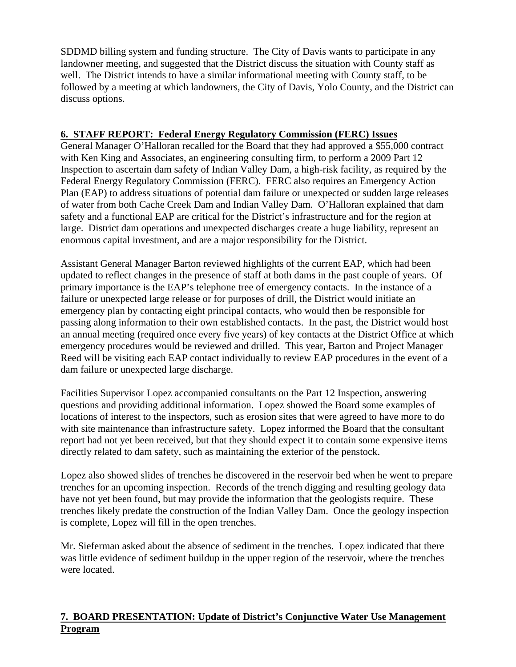SDDMD billing system and funding structure. The City of Davis wants to participate in any landowner meeting, and suggested that the District discuss the situation with County staff as well. The District intends to have a similar informational meeting with County staff, to be followed by a meeting at which landowners, the City of Davis, Yolo County, and the District can discuss options.

## **6. STAFF REPORT: Federal Energy Regulatory Commission (FERC) Issues**

General Manager O'Halloran recalled for the Board that they had approved a \$55,000 contract with Ken King and Associates, an engineering consulting firm, to perform a 2009 Part 12 Inspection to ascertain dam safety of Indian Valley Dam, a high-risk facility, as required by the Federal Energy Regulatory Commission (FERC). FERC also requires an Emergency Action Plan (EAP) to address situations of potential dam failure or unexpected or sudden large releases of water from both Cache Creek Dam and Indian Valley Dam. O'Halloran explained that dam safety and a functional EAP are critical for the District's infrastructure and for the region at large. District dam operations and unexpected discharges create a huge liability, represent an enormous capital investment, and are a major responsibility for the District.

Assistant General Manager Barton reviewed highlights of the current EAP, which had been updated to reflect changes in the presence of staff at both dams in the past couple of years. Of primary importance is the EAP's telephone tree of emergency contacts. In the instance of a failure or unexpected large release or for purposes of drill, the District would initiate an emergency plan by contacting eight principal contacts, who would then be responsible for passing along information to their own established contacts. In the past, the District would host an annual meeting (required once every five years) of key contacts at the District Office at which emergency procedures would be reviewed and drilled. This year, Barton and Project Manager Reed will be visiting each EAP contact individually to review EAP procedures in the event of a dam failure or unexpected large discharge.

Facilities Supervisor Lopez accompanied consultants on the Part 12 Inspection, answering questions and providing additional information. Lopez showed the Board some examples of locations of interest to the inspectors, such as erosion sites that were agreed to have more to do with site maintenance than infrastructure safety. Lopez informed the Board that the consultant report had not yet been received, but that they should expect it to contain some expensive items directly related to dam safety, such as maintaining the exterior of the penstock.

Lopez also showed slides of trenches he discovered in the reservoir bed when he went to prepare trenches for an upcoming inspection. Records of the trench digging and resulting geology data have not yet been found, but may provide the information that the geologists require. These trenches likely predate the construction of the Indian Valley Dam. Once the geology inspection is complete, Lopez will fill in the open trenches.

Mr. Sieferman asked about the absence of sediment in the trenches. Lopez indicated that there was little evidence of sediment buildup in the upper region of the reservoir, where the trenches were located.

## **7. BOARD PRESENTATION: Update of District's Conjunctive Water Use Management Program**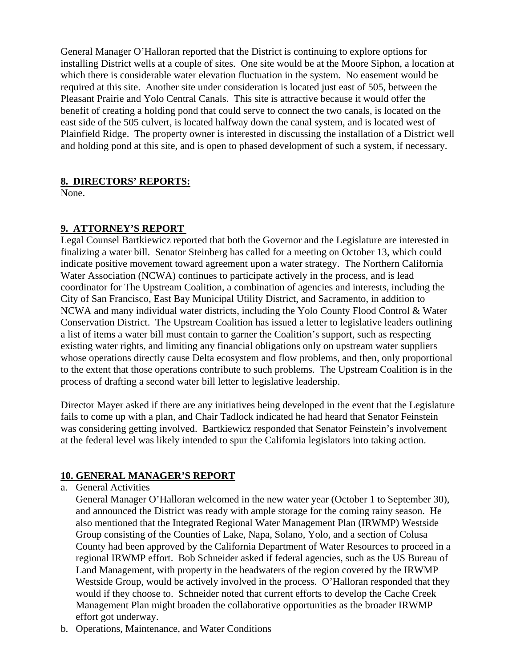General Manager O'Halloran reported that the District is continuing to explore options for installing District wells at a couple of sites. One site would be at the Moore Siphon, a location at which there is considerable water elevation fluctuation in the system. No easement would be required at this site. Another site under consideration is located just east of 505, between the Pleasant Prairie and Yolo Central Canals. This site is attractive because it would offer the benefit of creating a holding pond that could serve to connect the two canals, is located on the east side of the 505 culvert, is located halfway down the canal system, and is located west of Plainfield Ridge. The property owner is interested in discussing the installation of a District well and holding pond at this site, and is open to phased development of such a system, if necessary.

## **8. DIRECTORS' REPORTS:**

None.

## **9. ATTORNEY'S REPORT**

Legal Counsel Bartkiewicz reported that both the Governor and the Legislature are interested in finalizing a water bill. Senator Steinberg has called for a meeting on October 13, which could indicate positive movement toward agreement upon a water strategy. The Northern California Water Association (NCWA) continues to participate actively in the process, and is lead coordinator for The Upstream Coalition, a combination of agencies and interests, including the City of San Francisco, East Bay Municipal Utility District, and Sacramento, in addition to NCWA and many individual water districts, including the Yolo County Flood Control & Water Conservation District. The Upstream Coalition has issued a letter to legislative leaders outlining a list of items a water bill must contain to garner the Coalition's support, such as respecting existing water rights, and limiting any financial obligations only on upstream water suppliers whose operations directly cause Delta ecosystem and flow problems, and then, only proportional to the extent that those operations contribute to such problems. The Upstream Coalition is in the process of drafting a second water bill letter to legislative leadership.

Director Mayer asked if there are any initiatives being developed in the event that the Legislature fails to come up with a plan, and Chair Tadlock indicated he had heard that Senator Feinstein was considering getting involved. Bartkiewicz responded that Senator Feinstein's involvement at the federal level was likely intended to spur the California legislators into taking action.

#### **10. GENERAL MANAGER'S REPORT**

a. General Activities

General Manager O'Halloran welcomed in the new water year (October 1 to September 30), and announced the District was ready with ample storage for the coming rainy season. He also mentioned that the Integrated Regional Water Management Plan (IRWMP) Westside Group consisting of the Counties of Lake, Napa, Solano, Yolo, and a section of Colusa County had been approved by the California Department of Water Resources to proceed in a regional IRWMP effort. Bob Schneider asked if federal agencies, such as the US Bureau of Land Management, with property in the headwaters of the region covered by the IRWMP Westside Group, would be actively involved in the process. O'Halloran responded that they would if they choose to. Schneider noted that current efforts to develop the Cache Creek Management Plan might broaden the collaborative opportunities as the broader IRWMP effort got underway.

b. Operations, Maintenance, and Water Conditions